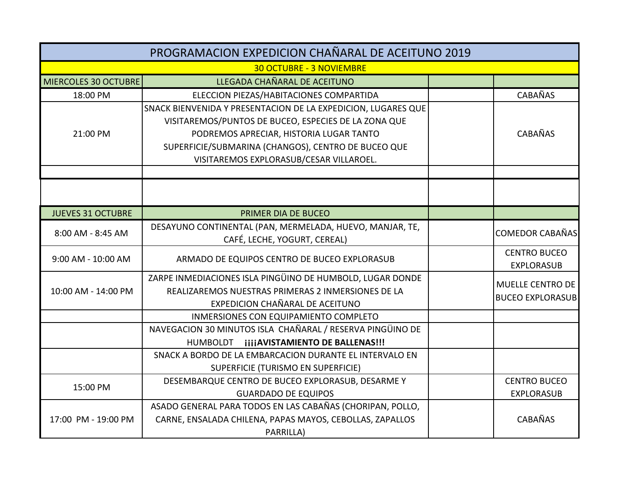| PROGRAMACION EXPEDICION CHAÑARAL DE ACEITUNO 2019 |                                                                                                                                                                                                                                                                    |  |                                             |  |  |
|---------------------------------------------------|--------------------------------------------------------------------------------------------------------------------------------------------------------------------------------------------------------------------------------------------------------------------|--|---------------------------------------------|--|--|
| <b>30 OCTUBRE - 3 NOVIEMBRE</b>                   |                                                                                                                                                                                                                                                                    |  |                                             |  |  |
| <b>MIERCOLES 30 OCTUBRE</b>                       | LLEGADA CHAÑARAL DE ACEITUNO                                                                                                                                                                                                                                       |  |                                             |  |  |
| 18:00 PM                                          | ELECCION PIEZAS/HABITACIONES COMPARTIDA                                                                                                                                                                                                                            |  | <b>CABAÑAS</b>                              |  |  |
| 21:00 PM                                          | SNACK BIENVENIDA Y PRESENTACION DE LA EXPEDICION, LUGARES QUE<br>VISITAREMOS/PUNTOS DE BUCEO, ESPECIES DE LA ZONA QUE<br>PODREMOS APRECIAR, HISTORIA LUGAR TANTO<br>SUPERFICIE/SUBMARINA (CHANGOS), CENTRO DE BUCEO QUE<br>VISITAREMOS EXPLORASUB/CESAR VILLAROEL. |  | CABAÑAS                                     |  |  |
|                                                   |                                                                                                                                                                                                                                                                    |  |                                             |  |  |
| <b>JUEVES 31 OCTUBRE</b>                          | PRIMER DIA DE BUCEO                                                                                                                                                                                                                                                |  |                                             |  |  |
| 8:00 AM - 8:45 AM                                 | DESAYUNO CONTINENTAL (PAN, MERMELADA, HUEVO, MANJAR, TE,<br>CAFÉ, LECHE, YOGURT, CEREAL)                                                                                                                                                                           |  | <b>COMEDOR CABAÑAS</b>                      |  |  |
| 9:00 AM - 10:00 AM                                | ARMADO DE EQUIPOS CENTRO DE BUCEO EXPLORASUB                                                                                                                                                                                                                       |  | <b>CENTRO BUCEO</b><br><b>EXPLORASUB</b>    |  |  |
| 10:00 AM - 14:00 PM                               | ZARPE INMEDIACIONES ISLA PINGÜINO DE HUMBOLD, LUGAR DONDE<br>REALIZAREMOS NUESTRAS PRIMERAS 2 INMERSIONES DE LA<br>EXPEDICION CHAÑARAL DE ACEITUNO                                                                                                                 |  | MUELLE CENTRO DE<br><b>BUCEO EXPLORASUB</b> |  |  |
|                                                   | INMERSIONES CON EQUIPAMIENTO COMPLETO                                                                                                                                                                                                                              |  |                                             |  |  |
|                                                   | NAVEGACION 30 MINUTOS ISLA CHAÑARAL / RESERVA PINGÜINO DE<br>HUMBOLDT <b>iiiiAVISTAMIENTO DE BALLENAS!!!</b>                                                                                                                                                       |  |                                             |  |  |
|                                                   | SNACK A BORDO DE LA EMBARCACION DURANTE EL INTERVALO EN<br>SUPERFICIE (TURISMO EN SUPERFICIE)                                                                                                                                                                      |  |                                             |  |  |
| 15:00 PM                                          | DESEMBARQUE CENTRO DE BUCEO EXPLORASUB, DESARME Y<br><b>GUARDADO DE EQUIPOS</b>                                                                                                                                                                                    |  | <b>CENTRO BUCEO</b><br><b>EXPLORASUB</b>    |  |  |
| 17:00 PM - 19:00 PM                               | ASADO GENERAL PARA TODOS EN LAS CABAÑAS (CHORIPAN, POLLO,<br>CARNE, ENSALADA CHILENA, PAPAS MAYOS, CEBOLLAS, ZAPALLOS<br>PARRILLA)                                                                                                                                 |  | CABAÑAS                                     |  |  |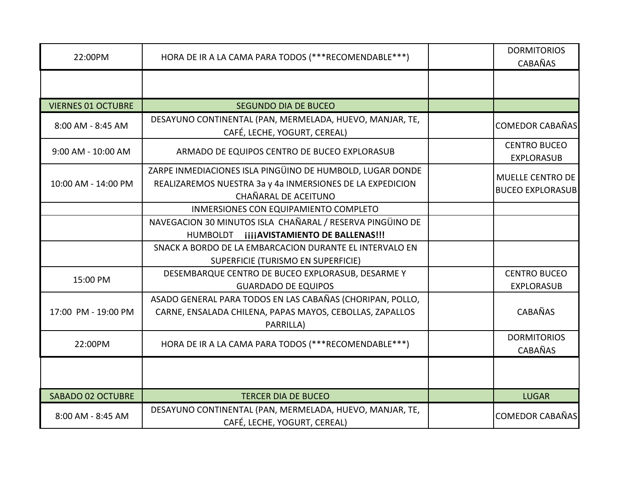| 22:00PM                   | HORA DE IR A LA CAMA PARA TODOS (***RECOMENDABLE***)                                                                                                  | <b>DORMITORIOS</b><br><b>CABAÑAS</b>        |
|---------------------------|-------------------------------------------------------------------------------------------------------------------------------------------------------|---------------------------------------------|
|                           |                                                                                                                                                       |                                             |
| <b>VIERNES 01 OCTUBRE</b> | <b>SEGUNDO DIA DE BUCEO</b>                                                                                                                           |                                             |
| 8:00 AM - 8:45 AM         | DESAYUNO CONTINENTAL (PAN, MERMELADA, HUEVO, MANJAR, TE,<br>CAFÉ, LECHE, YOGURT, CEREAL)                                                              | <b>COMEDOR CABAÑAS</b>                      |
| 9:00 AM - 10:00 AM        | ARMADO DE EQUIPOS CENTRO DE BUCEO EXPLORASUB                                                                                                          | <b>CENTRO BUCEO</b><br><b>EXPLORASUB</b>    |
| 10:00 AM - 14:00 PM       | ZARPE INMEDIACIONES ISLA PINGÜINO DE HUMBOLD, LUGAR DONDE<br>REALIZAREMOS NUESTRA 3a y 4a INMERSIONES DE LA EXPEDICION<br><b>CHAÑARAL DE ACEITUNO</b> | MUELLE CENTRO DE<br><b>BUCEO EXPLORASUB</b> |
|                           | INMERSIONES CON EQUIPAMIENTO COMPLETO                                                                                                                 |                                             |
|                           | NAVEGACION 30 MINUTOS ISLA CHAÑARAL / RESERVA PINGÜINO DE                                                                                             |                                             |
|                           | HUMBOLDT jijjAVISTAMIENTO DE BALLENAS!!!                                                                                                              |                                             |
|                           | SNACK A BORDO DE LA EMBARCACION DURANTE EL INTERVALO EN<br>SUPERFICIE (TURISMO EN SUPERFICIE)                                                         |                                             |
| 15:00 PM                  | DESEMBARQUE CENTRO DE BUCEO EXPLORASUB, DESARME Y<br><b>GUARDADO DE EQUIPOS</b>                                                                       | <b>CENTRO BUCEO</b><br><b>EXPLORASUB</b>    |
| 17:00 PM - 19:00 PM       | ASADO GENERAL PARA TODOS EN LAS CABAÑAS (CHORIPAN, POLLO,<br>CARNE, ENSALADA CHILENA, PAPAS MAYOS, CEBOLLAS, ZAPALLOS<br>PARRILLA)                    | <b>CABAÑAS</b>                              |
| 22:00PM                   | HORA DE IR A LA CAMA PARA TODOS (***RECOMENDABLE***)                                                                                                  | <b>DORMITORIOS</b><br><b>CABAÑAS</b>        |
|                           |                                                                                                                                                       |                                             |
| <b>SABADO 02 OCTUBRE</b>  | <b>TERCER DIA DE BUCEO</b>                                                                                                                            | <b>LUGAR</b>                                |
| 8:00 AM - 8:45 AM         | DESAYUNO CONTINENTAL (PAN, MERMELADA, HUEVO, MANJAR, TE,<br>CAFÉ, LECHE, YOGURT, CEREAL)                                                              | <b>COMEDOR CABAÑAS</b>                      |